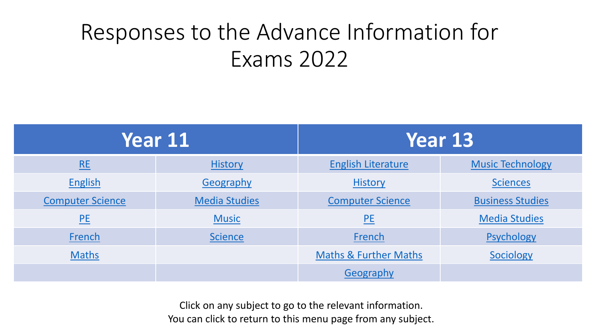# <span id="page-0-0"></span>Responses to the Advance Information for Exams 2022

| <b>Year 11</b>          |                      | Year 13                          |                         |
|-------------------------|----------------------|----------------------------------|-------------------------|
| RE                      | <b>History</b>       | <b>English Literature</b>        | <b>Music Technology</b> |
| <b>English</b>          | Geography            | <b>History</b>                   | <b>Sciences</b>         |
| <b>Computer Science</b> | <b>Media Studies</b> | <b>Computer Science</b>          | <b>Business Studies</b> |
| PE                      | <b>Music</b>         | PE                               | <b>Media Studies</b>    |
| French                  | <b>Science</b>       | French                           | Psychology              |
| <b>Maths</b>            |                      | <b>Maths &amp; Further Maths</b> | Sociology               |
|                         |                      | Geography                        |                         |

Click on any subject to go to the relevant information. You can click to return to this menu page from any subject.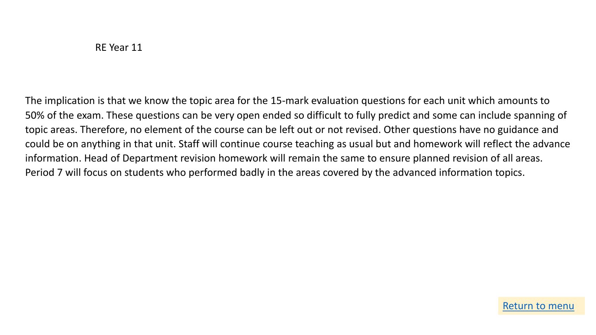<span id="page-1-0"></span>The implication is that we know the topic area for the 15-mark evaluation questions for each unit which amounts to 50% of the exam. These questions can be very open ended so difficult to fully predict and some can include spanning of topic areas. Therefore, no element of the course can be left out or not revised. Other questions have no guidance and could be on anything in that unit. Staff will continue course teaching as usual but and homework will reflect the advance information. Head of Department revision homework will remain the same to ensure planned revision of all areas. Period 7 will focus on students who performed badly in the areas covered by the advanced information topics.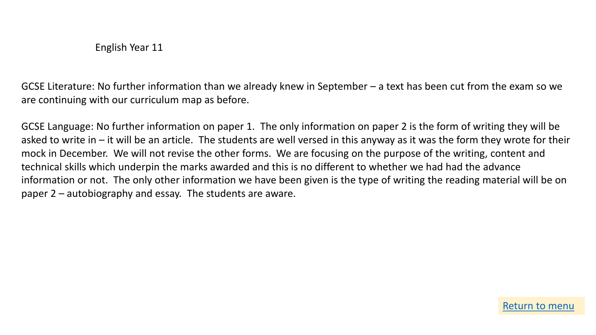<span id="page-2-0"></span>GCSE Literature: No further information than we already knew in September – a text has been cut from the exam so we are continuing with our curriculum map as before.

GCSE Language: No further information on paper 1. The only information on paper 2 is the form of writing they will be asked to write in – it will be an article. The students are well versed in this anyway as it was the form they wrote for their mock in December. We will not revise the other forms. We are focusing on the purpose of the writing, content and technical skills which underpin the marks awarded and this is no different to whether we had had the advance information or not. The only other information we have been given is the type of writing the reading material will be on paper 2 – autobiography and essay. The students are aware.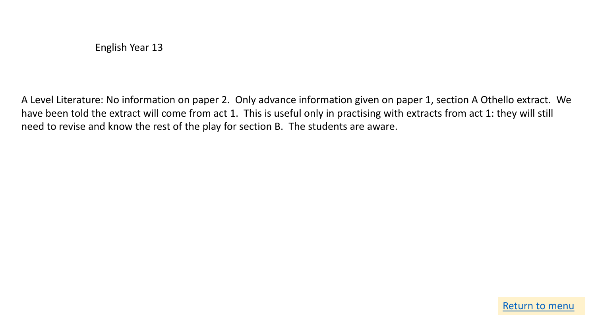<span id="page-3-0"></span>A Level Literature: No information on paper 2. Only advance information given on paper 1, section A Othello extract. We have been told the extract will come from act 1. This is useful only in practising with extracts from act 1: they will still need to revise and know the rest of the play for section B. The students are aware.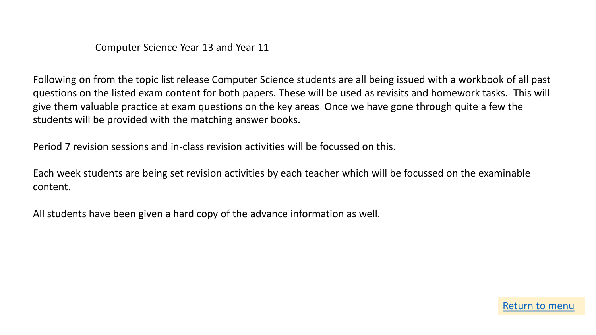Computer Science Year 13 and Year 11

<span id="page-4-0"></span>Following on from the topic list release Computer Science students are all being issued with a workbook of all past questions on the listed exam content for both papers. These will be used as revisits and homework tasks. This will give them valuable practice at exam questions on the key areas Once we have gone through quite a few the students will be provided with the matching answer books.

Period 7 revision sessions and in-class revision activities will be focussed on this.

Each week students are being set revision activities by each teacher which will be focussed on the examinable content.

All students have been given a hard copy of the advance information as well.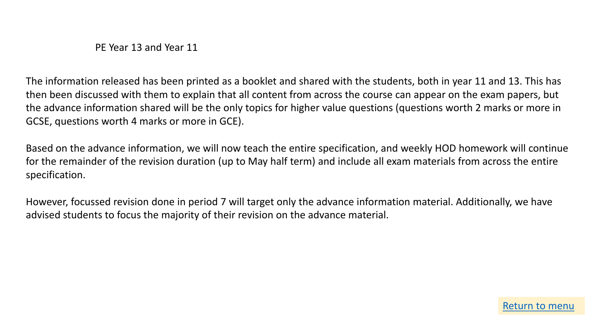PE Year 13 and Year 11

<span id="page-5-0"></span>The information released has been printed as a booklet and shared with the students, both in year 11 and 13. This has then been discussed with them to explain that all content from across the course can appear on the exam papers, but the advance information shared will be the only topics for higher value questions (questions worth 2 marks or more in GCSE, questions worth 4 marks or more in GCE).

Based on the advance information, we will now teach the entire specification, and weekly HOD homework will continue for the remainder of the revision duration (up to May half term) and include all exam materials from across the entire specification.

However, focussed revision done in period 7 will target only the advance information material. Additionally, we have advised students to focus the majority of their revision on the advance material.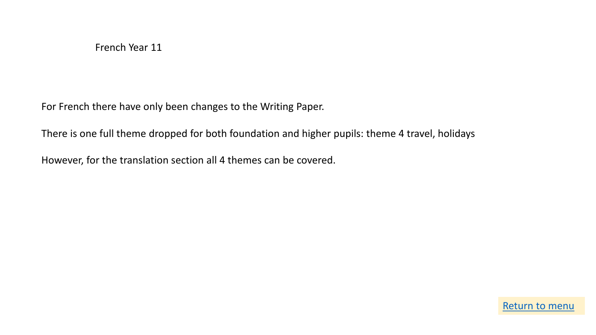<span id="page-6-0"></span>For French there have only been changes to the Writing Paper.

There is one full theme dropped for both foundation and higher pupils: theme 4 travel, holidays

However, for the translation section all 4 themes can be covered.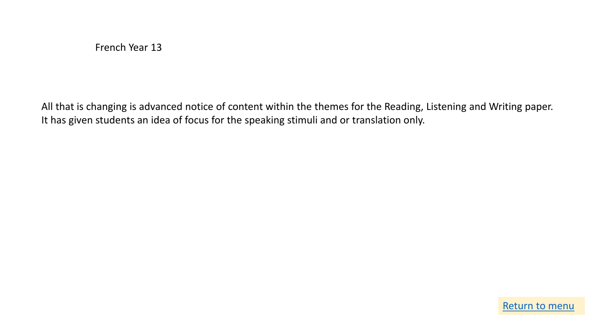<span id="page-7-0"></span>All that is changing is advanced notice of content within the themes for the Reading, Listening and Writing paper. It has given students an idea of focus for the speaking stimuli and or translation only.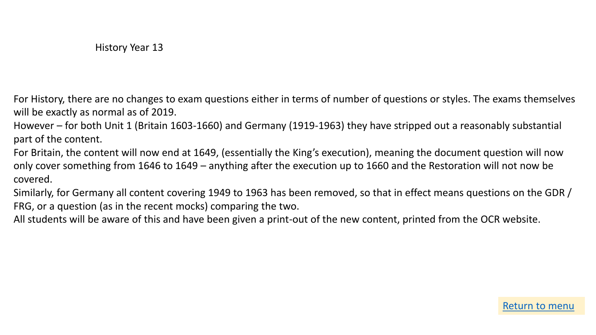<span id="page-8-0"></span>For History, there are no changes to exam questions either in terms of number of questions or styles. The exams themselves will be exactly as normal as of 2019.

However – for both Unit 1 (Britain 1603-1660) and Germany (1919-1963) they have stripped out a reasonably substantial part of the content.

For Britain, the content will now end at 1649, (essentially the King's execution), meaning the document question will now only cover something from 1646 to 1649 – anything after the execution up to 1660 and the Restoration will not now be covered.

Similarly, for Germany all content covering 1949 to 1963 has been removed, so that in effect means questions on the GDR / FRG, or a question (as in the recent mocks) comparing the two.

All students will be aware of this and have been given a print-out of the new content, printed from the OCR website.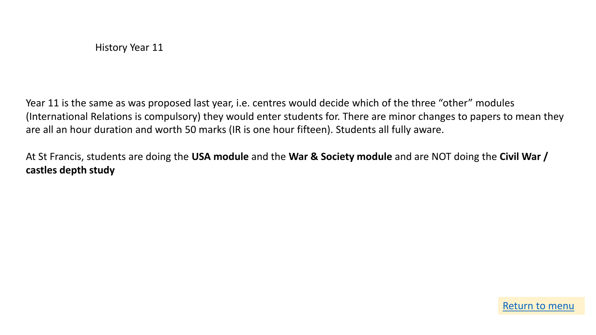<span id="page-9-0"></span>Year 11 is the same as was proposed last year, i.e. centres would decide which of the three "other" modules (International Relations is compulsory) they would enter students for. There are minor changes to papers to mean they are all an hour duration and worth 50 marks (IR is one hour fifteen). Students all fully aware.

At St Francis, students are doing the **USA module** and the **War & Society module** and are NOT doing the **Civil War / castles depth study**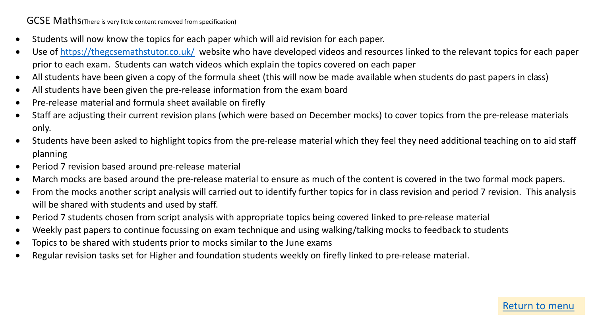<span id="page-10-0"></span>GCSE Maths(There is very little content removed from specification)

- Students will now know the topics for each paper which will aid revision for each paper.
- Use of<https://thegcsemathstutor.co.uk/> website who have developed videos and resources linked to the relevant topics for each paper prior to each exam. Students can watch videos which explain the topics covered on each paper
- All students have been given a copy of the formula sheet (this will now be made available when students do past papers in class)
- All students have been given the pre-release information from the exam board
- Pre-release material and formula sheet available on firefly
- Staff are adjusting their current revision plans (which were based on December mocks) to cover topics from the pre-release materials only.
- Students have been asked to highlight topics from the pre-release material which they feel they need additional teaching on to aid staff planning
- Period 7 revision based around pre-release material
- March mocks are based around the pre-release material to ensure as much of the content is covered in the two formal mock papers.
- From the mocks another script analysis will carried out to identify further topics for in class revision and period 7 revision. This analysis will be shared with students and used by staff.
- Period 7 students chosen from script analysis with appropriate topics being covered linked to pre-release material
- Weekly past papers to continue focussing on exam technique and using walking/talking mocks to feedback to students
- Topics to be shared with students prior to mocks similar to the June exams
- Regular revision tasks set for Higher and foundation students weekly on firefly linked to pre-release material.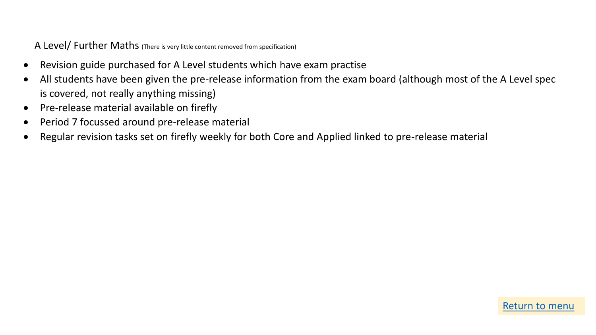<span id="page-11-0"></span>A Level/ Further Maths (There is very little content removed from specification)

- Revision guide purchased for A Level students which have exam practise
- All students have been given the pre-release information from the exam board (although most of the A Level spec is covered, not really anything missing)
- Pre-release material available on firefly
- Period 7 focussed around pre-release material
- Regular revision tasks set on firefly weekly for both Core and Applied linked to pre-release material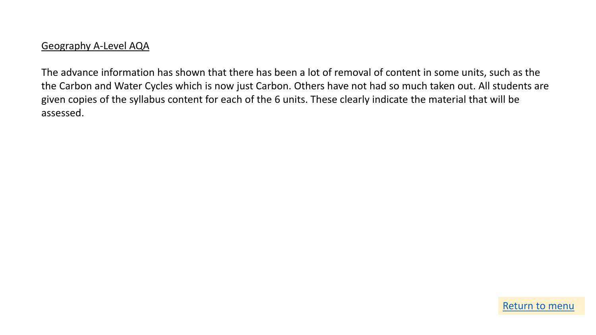<span id="page-12-0"></span>The advance information has shown that there has been a lot of removal of content in some units, such as the the Carbon and Water Cycles which is now just Carbon. Others have not had so much taken out. All students are given copies of the syllabus content for each of the 6 units. These clearly indicate the material that will be assessed.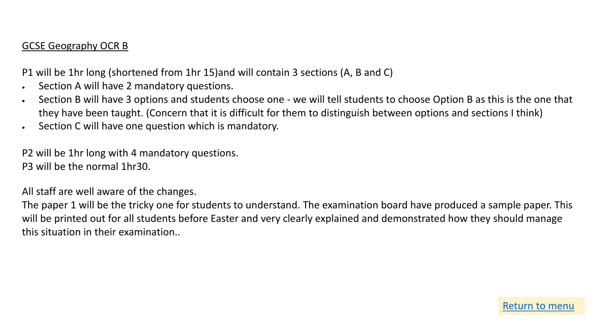#### <span id="page-13-0"></span>GCSE Geography OCR B

P1 will be 1hr long (shortened from 1hr 15)and will contain 3 sections (A, B and C)

- Section A will have 2 mandatory questions.
- Section B will have 3 options and students choose one we will tell students to choose Option B as this is the one that they have been taught. (Concern that it is difficult for them to distinguish between options and sections I think)
- Section C will have one question which is mandatory.

P2 will be 1hr long with 4 mandatory questions. P3 will be the normal 1hr30.

All staff are well aware of the changes.

The paper 1 will be the tricky one for students to understand. The examination board have produced a sample paper. This will be printed out for all students before Easter and very clearly explained and demonstrated how they should manage this situation in their examination..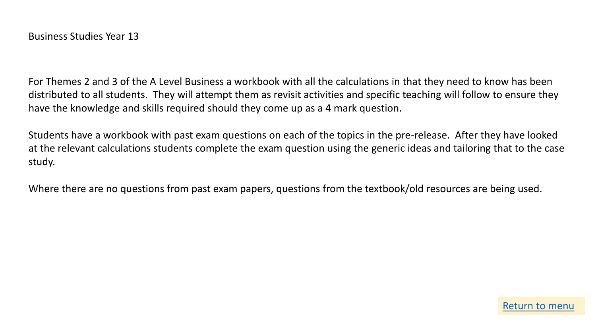<span id="page-14-0"></span>For Themes 2 and 3 of the A Level Business a workbook with all the calculations in that they need to know has been distributed to all students. They will attempt them as revisit activities and specific teaching will follow to ensure they have the knowledge and skills required should they come up as a 4 mark question.

Students have a workbook with past exam questions on each of the topics in the pre-release. After they have looked at the relevant calculations students complete the exam question using the generic ideas and tailoring that to the case study.

Where there are no questions from past exam papers, questions from the textbook/old resources are being used.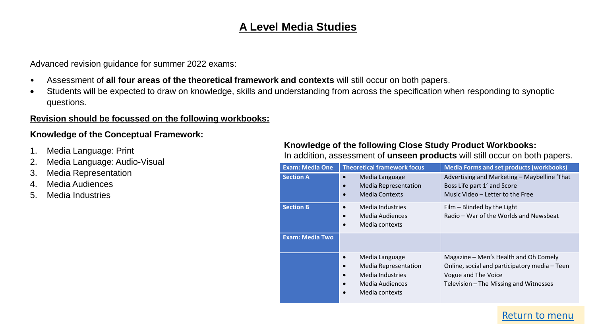# **A Level Media Studies**

<span id="page-15-0"></span>Advanced revision guidance for summer 2022 exams:

- Assessment of **all four areas of the theoretical framework and contexts** will still occur on both papers.
- Students will be expected to draw on knowledge, skills and understanding from across the specification when responding to synoptic questions.

#### **Revision should be focussed on the following workbooks:**

#### **Knowledge of the Conceptual Framework:**

- 1. Media Language: Print
- 2. Media Language: Audio-Visual
- 3. Media Representation
- 4. Media Audiences
- 5. Media Industries

#### **Knowledge of the following Close Study Product Workbooks:**

In addition, assessment of **unseen products** will still occur on both papers.

| <b>Exam: Media One</b> | <b>Theoretical framework focus</b>                                                                                                                                      | <b>Media Forms and set products (workbooks)</b>                                                                                                         |
|------------------------|-------------------------------------------------------------------------------------------------------------------------------------------------------------------------|---------------------------------------------------------------------------------------------------------------------------------------------------------|
| <b>Section A</b>       | Media Language<br>$\bullet$<br><b>Media Representation</b><br>$\bullet$<br><b>Media Contexts</b><br>$\bullet$                                                           | Advertising and Marketing - Maybelline 'That<br>Boss Life part 1' and Score<br>Music Video - Letter to the Free                                         |
| <b>Section B</b>       | Media Industries<br>$\bullet$<br>Media Audiences<br>$\bullet$<br>Media contexts<br>$\bullet$                                                                            | Film - Blinded by the Light<br>Radio – War of the Worlds and Newsbeat                                                                                   |
| <b>Exam: Media Two</b> |                                                                                                                                                                         |                                                                                                                                                         |
|                        | Media Language<br>$\bullet$<br><b>Media Representation</b><br>$\bullet$<br>Media Industries<br>$\bullet$<br>Media Audiences<br>$\bullet$<br>Media contexts<br>$\bullet$ | Magazine - Men's Health and Oh Comely<br>Online, social and participatory media - Teen<br>Vogue and The Voice<br>Television - The Missing and Witnesses |

#### [Return to menu](#page-0-0)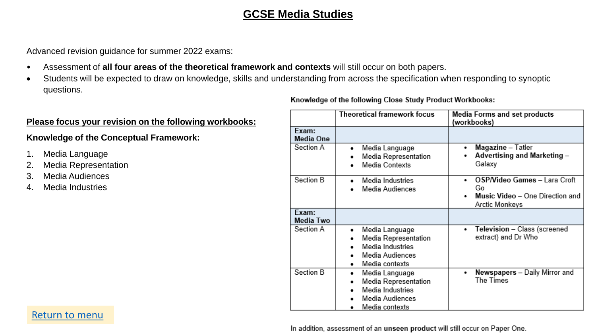# **GCSE Media Studies**

<span id="page-16-0"></span>Advanced revision guidance for summer 2022 exams:

- Assessment of **all four areas of the theoretical framework and contexts** will still occur on both papers.
- Students will be expected to draw on knowledge, skills and understanding from across the specification when responding to synoptic questions.

#### **Please focus your revision on the following workbooks:**

#### **Knowledge of the Conceptual Framework:**

- 1. Media Language
- 2. Media Representation
- 3. Media Audiences
- 4. Media Industries

Knowledge of the following Close Study Product Workbooks:

|                    | Theoretical framework focus                                                                          | <b>Media Forms and set products</b><br>(workbooks)                                           |  |
|--------------------|------------------------------------------------------------------------------------------------------|----------------------------------------------------------------------------------------------|--|
| Exam:<br>Media One |                                                                                                      |                                                                                              |  |
| Section A          | Media Language<br>٠<br>Media Representation<br>Media Contexts                                        | Magazine - Tatler<br>٠<br>Advertising and Marketing -<br>Galaxy                              |  |
| Section B          | Media Industries<br>Media Audiences                                                                  | OSP/Video Games - Lara Croft<br>٠<br>Go<br>Music Video - One Direction and<br>Arctic Monkeys |  |
| Exam:<br>Media Two |                                                                                                      |                                                                                              |  |
| Section A          | Media Language<br>٠<br>Media Representation<br>Media Industries<br>Media Audiences<br>Media contexts | Television - Class (screened<br>٠<br>extract) and Dr Who                                     |  |
| Section B          | Media Language<br>٠<br>Media Representation<br>Media Industries<br>Media Audiences<br>Media contexts | Newspapers - Daily Mirror and<br>٠<br>The Times                                              |  |

In addition, assessment of an unseen product will still occur on Paper One.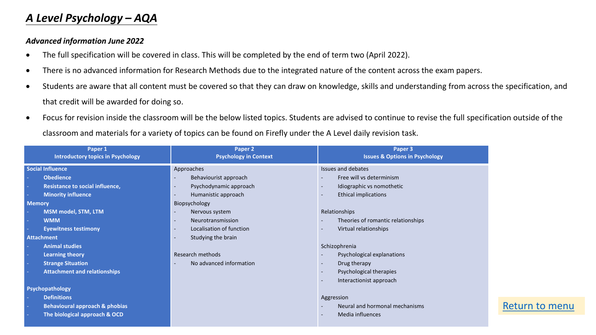# <span id="page-17-0"></span>*A Level Psychology – AQA*

#### *Advanced information June 2022*

- The full specification will be covered in class. This will be completed by the end of term two (April 2022).
- There is no advanced information for Research Methods due to the integrated nature of the content across the exam papers.
- Students are aware that all content must be covered so that they can draw on knowledge, skills and understanding from across the specification, and that credit will be awarded for doing so.
- Focus for revision inside the classroom will be the below listed topics. Students are advised to continue to revise the full specification outside of the classroom and materials for a variety of topics can be found on Firefly under the A Level daily revision task.

| Paper 1<br><b>Introductory topics in Psychology</b> | Paper 2<br><b>Psychology in Context</b>              | Paper 3<br><b>Issues &amp; Options in Psychology</b>        |
|-----------------------------------------------------|------------------------------------------------------|-------------------------------------------------------------|
| <b>Social Influence</b>                             | Approaches                                           | Issues and debates                                          |
| <b>Obedience</b>                                    | Behaviourist approach<br>$\overline{\phantom{a}}$    | Free will vs determinism                                    |
| Resistance to social influence,                     | Psychodynamic approach<br>$\overline{\phantom{a}}$   | Idiographic vs nomothetic<br>$\overline{\phantom{a}}$       |
| <b>Minority influence</b>                           | Humanistic approach<br>$\overline{\phantom{a}}$      | <b>Ethical implications</b><br>$\qquad \qquad \blacksquare$ |
| <b>Memory</b>                                       | Biopsychology                                        |                                                             |
| MSM model, STM, LTM                                 | Nervous system<br>$\overline{\phantom{a}}$           | Relationships                                               |
| <b>WMM</b>                                          | Neurotransmission<br>$\overline{\phantom{a}}$        | Theories of romantic relationships                          |
| <b>Eyewitness testimony</b>                         | Localisation of function<br>$\overline{\phantom{a}}$ | Virtual relationships                                       |
| <b>Attachment</b>                                   | Studying the brain<br>$\overline{\phantom{a}}$       |                                                             |
| <b>Animal studies</b>                               |                                                      | Schizophrenia                                               |
| <b>Learning theory</b>                              | Research methods                                     | Psychological explanations                                  |
| <b>Strange Situation</b>                            | No advanced information<br>$\overline{\phantom{a}}$  | Drug therapy<br>$\overline{\phantom{a}}$                    |
| <b>Attachment and relationships</b>                 |                                                      | Psychological therapies<br>$\overline{\phantom{a}}$         |
|                                                     |                                                      | Interactionist approach<br>$\qquad \qquad \blacksquare$     |
| Psychopathology                                     |                                                      |                                                             |
| <b>Definitions</b>                                  |                                                      | Aggression                                                  |
| <b>Behavioural approach &amp; phobias</b>           |                                                      | Neural and hormonal mechanisms                              |
| The biological approach & OCD                       |                                                      | Media influences<br>$\qquad \qquad \blacksquare$            |

#### [Return to menu](#page-0-0)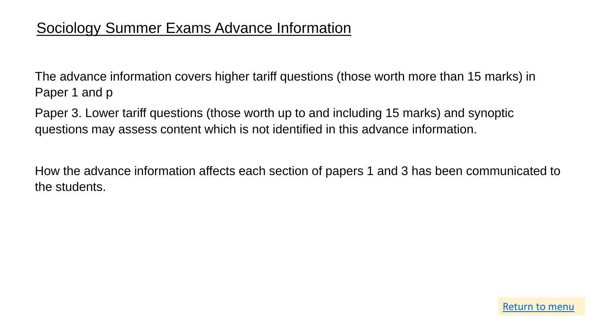# <span id="page-18-0"></span>Sociology Summer Exams Advance Information

The advance information covers higher tariff questions (those worth more than 15 marks) in Paper 1 and p

Paper 3. Lower tariff questions (those worth up to and including 15 marks) and synoptic questions may assess content which is not identified in this advance information.

How the advance information affects each section of papers 1 and 3 has been communicated to the students.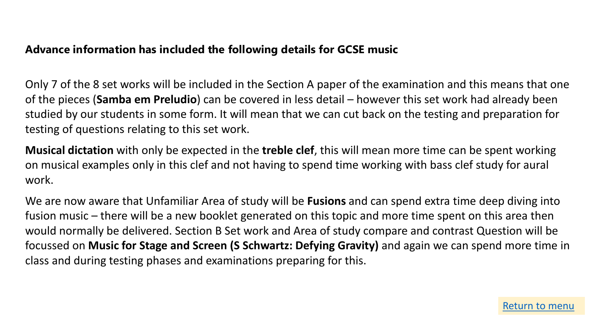### <span id="page-19-0"></span>**Advance information has included the following details for GCSE music**

Only 7 of the 8 set works will be included in the Section A paper of the examination and this means that one of the pieces (**Samba em Preludio**) can be covered in less detail – however this set work had already been studied by our students in some form. It will mean that we can cut back on the testing and preparation for testing of questions relating to this set work.

**Musical dictation** with only be expected in the **treble clef**, this will mean more time can be spent working on musical examples only in this clef and not having to spend time working with bass clef study for aural work.

We are now aware that Unfamiliar Area of study will be **Fusions** and can spend extra time deep diving into fusion music – there will be a new booklet generated on this topic and more time spent on this area then would normally be delivered. Section B Set work and Area of study compare and contrast Question will be focussed on **Music for Stage and Screen (S Schwartz: Defying Gravity)** and again we can spend more time in class and during testing phases and examinations preparing for this.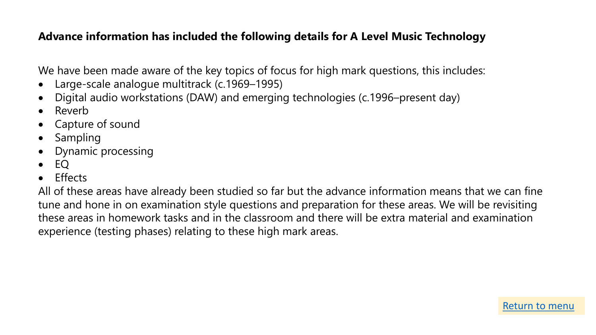# <span id="page-20-0"></span>**Advance information has included the following details for A Level Music Technology**

We have been made aware of the key topics of focus for high mark questions, this includes:

- Large-scale analogue multitrack (c.1969–1995)
- Digital audio workstations (DAW) and emerging technologies (c.1996–present day)
- Reverb
- Capture of sound
- Sampling
- Dynamic processing
- EQ
- Effects

All of these areas have already been studied so far but the advance information means that we can fine tune and hone in on examination style questions and preparation for these areas. We will be revisiting these areas in homework tasks and in the classroom and there will be extra material and examination experience (testing phases) relating to these high mark areas.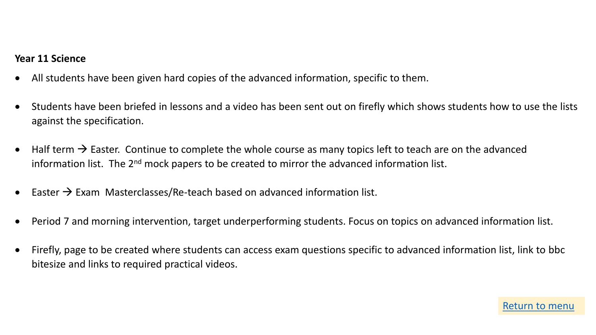#### <span id="page-21-0"></span>**Year 11 Science**

- All students have been given hard copies of the advanced information, specific to them.
- Students have been briefed in lessons and a video has been sent out on firefly which shows students how to use the lists against the specification.
- Half term  $\rightarrow$  Easter. Continue to complete the whole course as many topics left to teach are on the advanced information list. The  $2<sup>nd</sup>$  mock papers to be created to mirror the advanced information list.
- Easter  $\rightarrow$  Exam Masterclasses/Re-teach based on advanced information list.
- Period 7 and morning intervention, target underperforming students. Focus on topics on advanced information list.
- Firefly, page to be created where students can access exam questions specific to advanced information list, link to bbc bitesize and links to required practical videos.